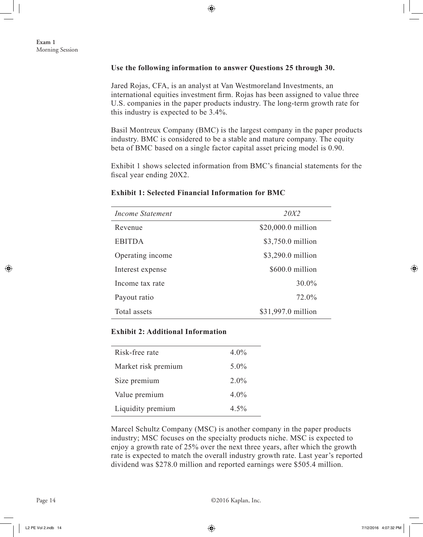### **Use the following information to answer Questions 25 through 30.**

Jared Rojas, CFA, is an analyst at Van Westmoreland Investments, an international equities investment firm. Rojas has been assigned to value three U.S. companies in the paper products industry. The long-term growth rate for this industry is expected to be 3.4%.

Basil Montreux Company (BMC) is the largest company in the paper products industry. BMC is considered to be a stable and mature company. The equity beta of BMC based on a single factor capital asset pricing model is 0.90.

Exhibit 1 shows selected information from BMC's financial statements for the fiscal year ending 20X2.

| Income Statement | 20X2               |
|------------------|--------------------|
| Revenue          | \$20,000.0 million |
| <b>EBITDA</b>    | \$3,750.0 million  |
| Operating income | \$3,290.0 million  |
| Interest expense | \$600.0 million    |
| Income tax rate  | $30.0\%$           |
| Payout ratio     | 72.0%              |
| Total assets     | \$31,997.0 million |

### **Exhibit 1: Selected Financial Information for BMC**

# **Exhibit 2: Additional Information**

| Risk-free rate      | $4.0\%$ |
|---------------------|---------|
| Market risk premium | $5.0\%$ |
| Size premium        | $2.0\%$ |
| Value premium       | $4.0\%$ |
| Liquidity premium   | $4.5\%$ |

Marcel Schultz Company (MSC) is another company in the paper products industry; MSC focuses on the specialty products niche. MSC is expected to enjoy a growth rate of 25% over the next three years, after which the growth rate is expected to match the overall industry growth rate. Last year's reported dividend was \$278.0 million and reported earnings were \$505.4 million.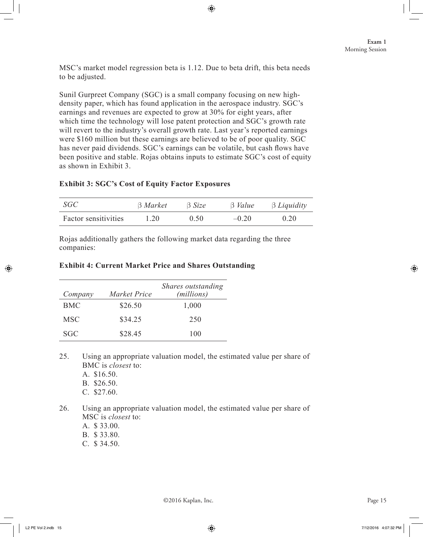MSC's market model regression beta is 1.12. Due to beta drift, this beta needs to be adjusted.

Sunil Gurpreet Company (SGC) is a small company focusing on new highdensity paper, which has found application in the aerospace industry. SGC's earnings and revenues are expected to grow at 30% for eight years, after which time the technology will lose patent protection and SGC's growth rate will revert to the industry's overall growth rate. Last year's reported earnings were \$160 million but these earnings are believed to be of poor quality. SGC has never paid dividends. SGC's earnings can be volatile, but cash flows have been positive and stable. Rojas obtains inputs to estimate SGC's cost of equity as shown in Exhibit 3.

# **Exhibit 3: SGC's Cost of Equity Factor Exposures**

| SGC                  | $\beta$ Market | $\beta$ Size | $\beta$ <i>Value</i> | $\beta$ Liquidity |
|----------------------|----------------|--------------|----------------------|-------------------|
| Factor sensitivities | 1.20           | 0.50         | $-0.20$              | 0.20              |

Rojas additionally gathers the following market data regarding the three companies:

### **Exhibit 4: Current Market Price and Shares Outstanding**

| Company    | Market Price | Shares outstanding<br>(millions) |
|------------|--------------|----------------------------------|
| <b>BMC</b> | \$26.50      | 1,000                            |
| <b>MSC</b> | \$34.25      | 250                              |
| SGC        | \$28.45      | 100                              |

25. Using an appropriate valuation model, the estimated value per share of BMC is *closest* to:

A. \$16.50. B. \$26.50.

C. \$27.60.

26. Using an appropriate valuation model, the estimated value per share of MSC is *closest* to:

- A. \$ 33.00.
- B. \$ 33.80.
- C. \$ 34.50.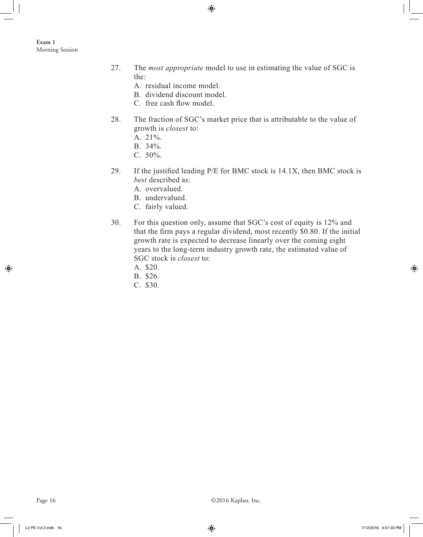- 27. The *most appropriate* model to use in estimating the value of SGC is the:
	- A. residual income model.
	- B. dividend discount model.
	- C. free cash flow model.
- 28. The fraction of SGC's market price that is attributable to the value of growth is *closest* to:
	- A. 21%.
	- B. 34%.
	- $C. 50\%$ .
- 29. If the justified leading P/E for BMC stock is 14.1X, then BMC stock is *best* described as:
	- A. overvalued.
	- B. undervalued.
	- C. fairly valued.
- 30. For this question only, assume that SGC's cost of equity is 12% and that the firm pays a regular dividend, most recently \$0.80. If the initial growth rate is expected to decrease linearly over the coming eight years to the long-term industry growth rate, the estimated value of SGC stock is *closest* to:
	- A. \$20.
	- B. \$26.
	- C. \$30.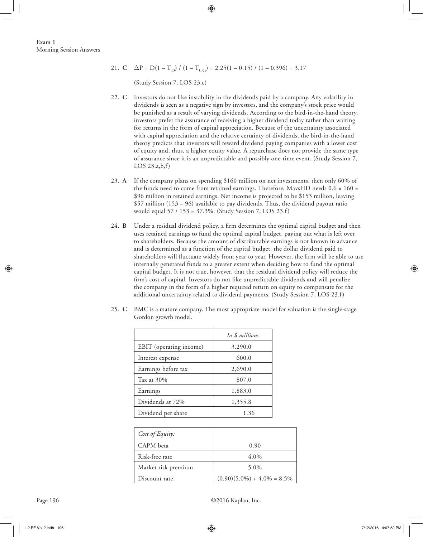21. **C**  $\Delta P = D(1 - T_D) / (1 - T_{CC}) = 2.25(1 - 0.15) / (1 - 0.396) = 3.17$ 

(Study Session 7, LOS 23.c)

- 22. **C** Investors do not like instability in the dividends paid by a company. Any volatility in dividends is seen as a negative sign by investors, and the company's stock price would be punished as a result of varying dividends. According to the bird-in-the-hand theory, investors prefer the assurance of receiving a higher dividend today rather than waiting for returns in the form of capital appreciation. Because of the uncertainty associated with capital appreciation and the relative certainty of dividends, the bird-in-the-hand theory predicts that investors will reward dividend paying companies with a lower cost of equity and, thus, a higher equity value. A repurchase does not provide the same type of assurance since it is an unpredictable and possibly one-time event. (Study Session 7, LOS  $23.a,b,f$
- 23. **A** If the company plans on spending \$160 million on net investments, then only 60% of the funds need to come from retained earnings. Therefore, MavsHD needs  $0.6 \times 160 =$ \$96 million in retained earnings. Net income is projected to be \$153 million, leaving  $$57$  million  $(153 - 96)$  available to pay dividends. Thus, the dividend payout ratio would equal 57 / 153 = 37.3%. (Study Session 7, LOS 23.f)
- 24. **B** Under a residual dividend policy, a firm determines the optimal capital budget and then uses retained earnings to fund the optimal capital budget, paying out what is left over to shareholders. Because the amount of distributable earnings is not known in advance and is determined as a function of the capital budget, the dollar dividend paid to shareholders will fluctuate widely from year to year. However, the firm will be able to use internally generated funds to a greater extent when deciding how to fund the optimal capital budget. It is not true, however, that the residual dividend policy will reduce the firm's cost of capital. Investors do not like unpredictable dividends and will penalize the company in the form of a higher required return on equity to compensate for the additional uncertainty related to dividend payments. (Study Session 7, LOS 23.f)
- 25. **C** BMC is a mature company. The most appropriate model for valuation is the single-stage Gordon growth model.

|                         | In \$ millions |
|-------------------------|----------------|
| EBIT (operating income) | 3,290.0        |
| Interest expense        | 600.0          |
| Earnings before tax     | 2,690.0        |
| Tax at 30%              | 807.0          |
| Earnings                | 1,883.0        |
| Dividends at 72%        | 1,355.8        |
| Dividend per share      | 1.36           |

| Cost of Equity:     |                                 |
|---------------------|---------------------------------|
| CAPM beta           | 0.90                            |
| Risk-free rate      | $4.0\%$                         |
| Market risk premium | 5.0%                            |
| Discount rate       | $(0.90)(5.0\%) + 4.0\% = 8.5\%$ |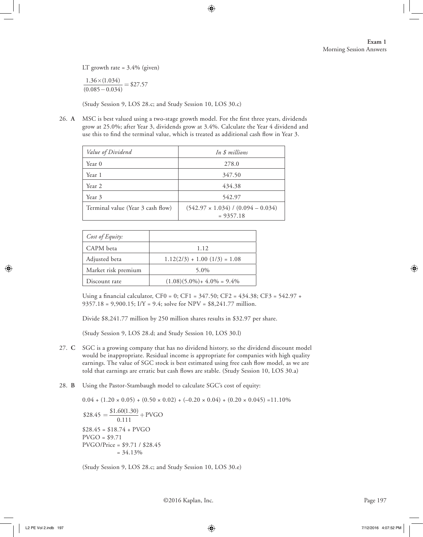LT growth rate =  $3.4\%$  (given)

 $1.36 \times (1.034)$  $\frac{1.36 \times (1.034)}{(0.085 - 0.034)}$  = \$27.57

(Study Session 9, LOS 28.c; and Study Session 10, LOS 30.c)

26. **A** MSC is best valued using a two-stage growth model. For the first three years, dividends grow at 25.0%; after Year 3, dividends grow at 3.4%. Calculate the Year 4 dividend and use this to find the terminal value, which is treated as additional cash flow in Year 3.

| Value of Dividend                 | In \$ millions                                           |
|-----------------------------------|----------------------------------------------------------|
| Year 0                            | 278.0                                                    |
| Year 1                            | 347.50                                                   |
| Year 2                            | 434.38                                                   |
| Year 3                            | 542.97                                                   |
| Terminal value (Year 3 cash flow) | $(542.97 \times 1.034) / (0.094 - 0.034)$<br>$= 9357.18$ |

| Cost of Equity:     |                                 |
|---------------------|---------------------------------|
| CAPM beta           | 1.12                            |
| Adjusted beta       | $1.12(2/3) + 1.00(1/3) = 1.08$  |
| Market risk premium | 5.0%                            |
| Discount rate       | $(1.08)(5.0\%) + 4.0\% = 9.4\%$ |

Using a financial calculator, CF0 = 0; CF1 =  $347.50$ ; CF2 =  $434.38$ ; CF3 =  $542.97 +$ 9357.18 = 9,900.15; I/Y = 9.4; solve for NPV = \$8,241.77 million.

Divide \$8,241.77 million by 250 million shares results in \$32.97 per share.

(Study Session 9, LOS 28.d; and Study Session 10, LOS 30.l)

- 27. **C** SGC is a growing company that has no dividend history, so the dividend discount model would be inappropriate. Residual income is appropriate for companies with high quality earnings. The value of SGC stock is best estimated using free cash flow model, as we are told that earnings are erratic but cash flows are stable. (Study Session 10, LOS 30.a)
- 28. **B** Using the Pastor-Stambaugh model to calculate SGC's cost of equity:

 $0.04 + (1.20 \times 0.05) + (0.50 \times 0.02) + (-0.20 \times 0.04) + (0.20 \times 0.045) = 11.10\%$  $$28.45 = \frac{$1.60(1.30)}{0.111} + PVGO$  $$28.45 = $18.74 + PVGO$  $PVGO = $9.71$ PVGO/Price = \$9.71 / \$28.45  $= 34.13\%$ 

(Study Session 9, LOS 28.c; and Study Session 10, LOS 30.e)